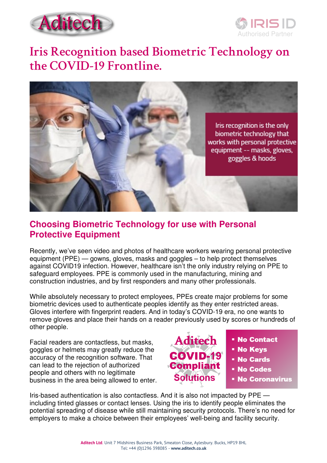



# **Iris Recognition based Biometric Technology on the COVID-19 Frontline.**



## **Choosing Biometric Technology for use with Personal Protective Equipment**

Recently, we've seen video and photos of healthcare workers wearing personal protective equipment (PPE) — gowns, gloves, masks and goggles – to help protect themselves against COVID19 infection. However, healthcare isn't the only industry relying on PPE to safeguard employees. PPE is commonly used in the manufacturing, mining and construction industries, and by first responders and many other professionals.

While absolutely necessary to protect employees, PPEs create major problems for some biometric devices used to authenticate peoples identify as they enter restricted areas. Gloves interfere with fingerprint readers. And in today's COVID-19 era, no one wants to remove gloves and place their hands on a reader previously used by scores or hundreds of other people.

Facial readers are contactless, but masks, goggles or helmets may greatly reduce the accuracy of the recognition software. That can lead to the rejection of authorized people and others with no legitimate business in the area being allowed to enter.



Iris-based authentication is also contactless. And it is also not impacted by PPE including tinted glasses or contact lenses. Using the iris to identify people eliminates the potential spreading of disease while still maintaining security protocols. There's no need for employers to make a choice between their employees' well-being and facility security.